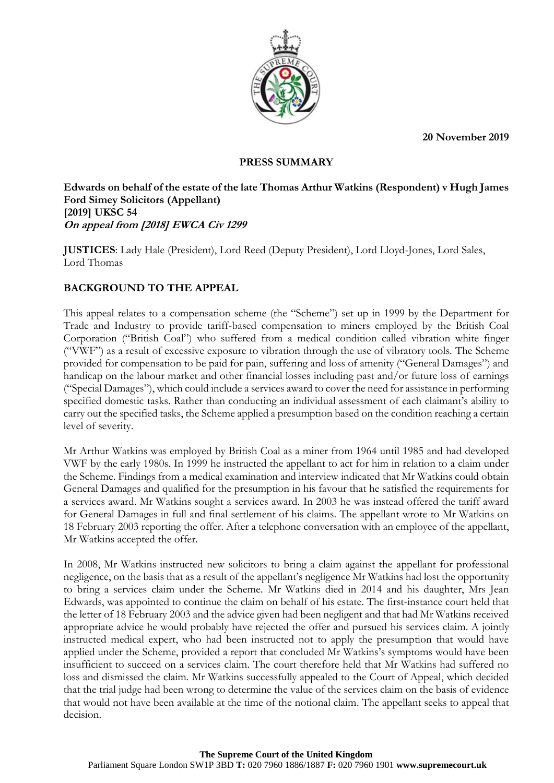**20 November 2019**



#### **PRESS SUMMARY**

**Edwards on behalf of the estate of the late Thomas Arthur Watkins (Respondent) v Hugh James Ford Simey Solicitors (Appellant) [2019] UKSC 54 On appeal from [2018] EWCA Civ 1299**

**JUSTICES**: Lady Hale (President), Lord Reed (Deputy President), Lord Lloyd-Jones, Lord Sales, Lord Thomas

# **BACKGROUND TO THE APPEAL**

This appeal relates to a compensation scheme (the "Scheme") set up in 1999 by the Department for Trade and Industry to provide tariff-based compensation to miners employed by the British Coal Corporation ("British Coal") who suffered from a medical condition called vibration white finger ("VWF") as a result of excessive exposure to vibration through the use of vibratory tools. The Scheme provided for compensation to be paid for pain, suffering and loss of amenity ("General Damages") and handicap on the labour market and other financial losses including past and/or future loss of earnings ("Special Damages"), which could include a services award to cover the need for assistance in performing specified domestic tasks. Rather than conducting an individual assessment of each claimant's ability to carry out the specified tasks, the Scheme applied a presumption based on the condition reaching a certain level of severity.

Mr Arthur Watkins was employed by British Coal as a miner from 1964 until 1985 and had developed VWF by the early 1980s. In 1999 he instructed the appellant to act for him in relation to a claim under the Scheme. Findings from a medical examination and interview indicated that Mr Watkins could obtain General Damages and qualified for the presumption in his favour that he satisfied the requirements for a services award. Mr Watkins sought a services award. In 2003 he was instead offered the tariff award for General Damages in full and final settlement of his claims. The appellant wrote to Mr Watkins on 18 February 2003 reporting the offer. After a telephone conversation with an employee of the appellant, Mr Watkins accepted the offer.

In 2008, Mr Watkins instructed new solicitors to bring a claim against the appellant for professional negligence, on the basis that as a result of the appellant's negligence Mr Watkins had lost the opportunity to bring a services claim under the Scheme. Mr Watkins died in 2014 and his daughter, Mrs Jean Edwards, was appointed to continue the claim on behalf of his estate. The first-instance court held that the letter of 18 February 2003 and the advice given had been negligent and that had Mr Watkins received appropriate advice he would probably have rejected the offer and pursued his services claim. A jointly instructed medical expert, who had been instructed not to apply the presumption that would have applied under the Scheme, provided a report that concluded Mr Watkins's symptoms would have been insufficient to succeed on a services claim. The court therefore held that Mr Watkins had suffered no loss and dismissed the claim. Mr Watkins successfully appealed to the Court of Appeal, which decided that the trial judge had been wrong to determine the value of the services claim on the basis of evidence that would not have been available at the time of the notional claim. The appellant seeks to appeal that decision.